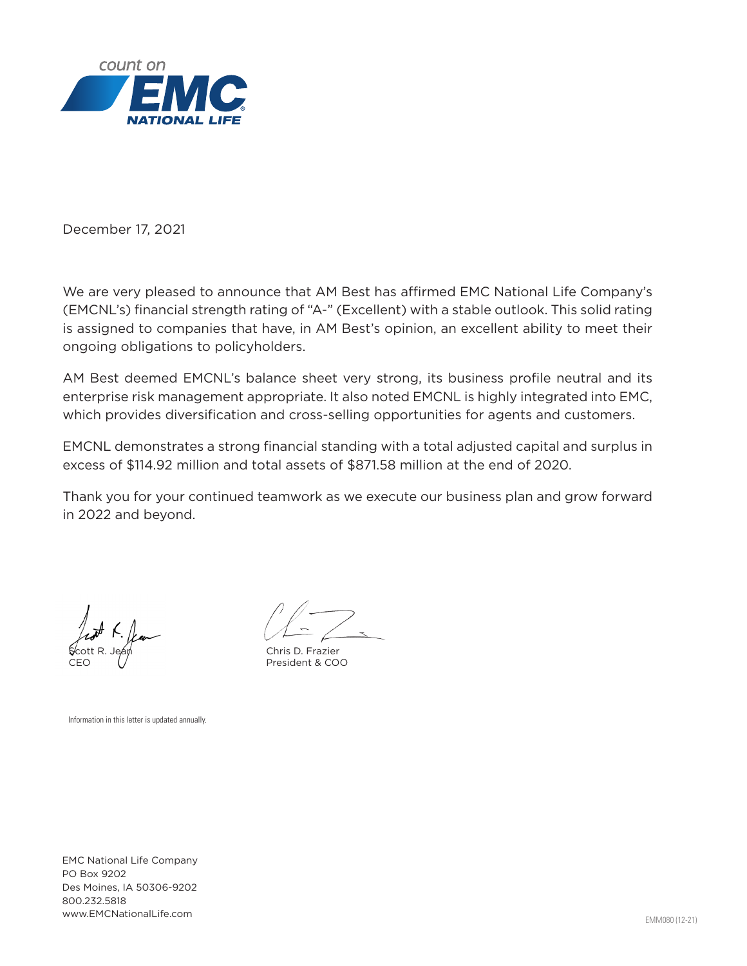

December 17, 2021

We are very pleased to announce that AM Best has affirmed EMC National Life Company's (EMCNL's) financial strength rating of "A-" (Excellent) with a stable outlook. This solid rating is assigned to companies that have, in AM Best's opinion, an excellent ability to meet their ongoing obligations to policyholders.

AM Best deemed EMCNL's balance sheet very strong, its business profile neutral and its enterprise risk management appropriate. It also noted EMCNL is highly integrated into EMC, which provides diversification and cross-selling opportunities for agents and customers.

EMCNL demonstrates a strong financial standing with a total adjusted capital and surplus in excess of \$114.92 million and total assets of \$871.58 million at the end of 2020.

Thank you for your continued teamwork as we execute our business plan and grow forward in 2022 and beyond.

**S**cott R. Jeán CEO

Chris D. Frazier President & COO

Information in this letter is updated annually.

EMC National Life Company PO Box 9202 Des Moines, IA 50306-9202 800.232.5818 www.EMCNationalLife.com